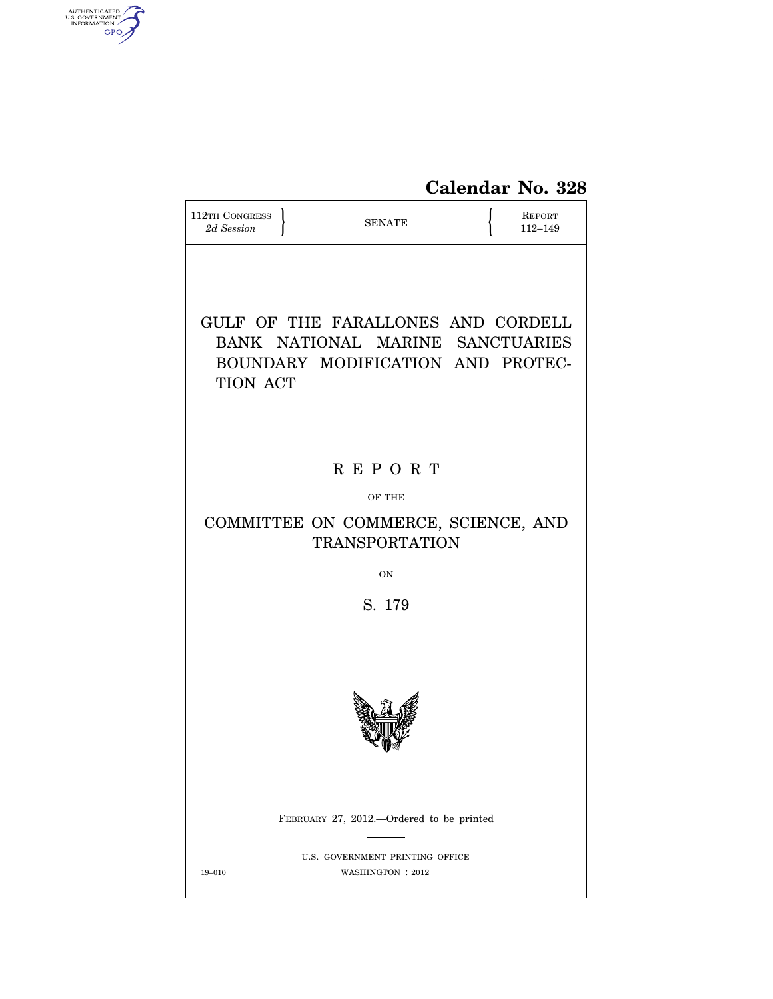# **Calendar No. 328**

| 112TH CONGRESS<br>2d Session                                                                                                   | <b>SENATE</b>                                        |  | <b>REPORT</b><br>112-149 |  |  |  |  |  |
|--------------------------------------------------------------------------------------------------------------------------------|------------------------------------------------------|--|--------------------------|--|--|--|--|--|
| GULF OF THE FARALLONES AND CORDELL<br>BANK NATIONAL MARINE SANCTUARIES<br>BOUNDARY MODIFICATION AND PROTEC-<br><b>TION ACT</b> |                                                      |  |                          |  |  |  |  |  |
|                                                                                                                                | <b>REPORT</b>                                        |  |                          |  |  |  |  |  |
|                                                                                                                                | OF THE                                               |  |                          |  |  |  |  |  |
| COMMITTEE ON COMMERCE, SCIENCE, AND<br><b>TRANSPORTATION</b>                                                                   |                                                      |  |                          |  |  |  |  |  |
|                                                                                                                                | <b>ON</b>                                            |  |                          |  |  |  |  |  |
|                                                                                                                                | S. 179                                               |  |                          |  |  |  |  |  |
|                                                                                                                                |                                                      |  |                          |  |  |  |  |  |
|                                                                                                                                | FEBRUARY 27, 2012.—Ordered to be printed             |  |                          |  |  |  |  |  |
| $19 - 010$                                                                                                                     | U.S. GOVERNMENT PRINTING OFFICE<br>WASHINGTON : 2012 |  |                          |  |  |  |  |  |

AUTHENTICATED

 $\widehat{\mathbf{f}}$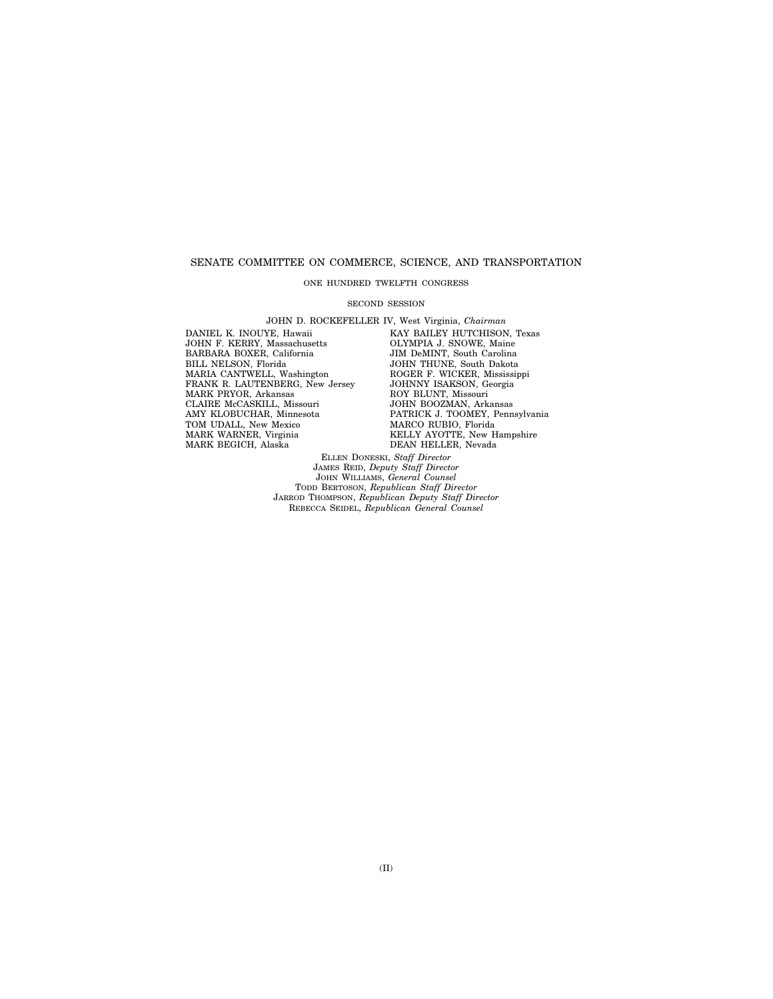#### SENATE COMMITTEE ON COMMERCE, SCIENCE, AND TRANSPORTATION

#### ONE HUNDRED TWELFTH CONGRESS

#### SECOND SESSION

JOHN D. ROCKEFELLER IV, West Virginia, *Chairman*  DANIEL K. INOUYE, Hawaii JOHN F. KERRY, Massachusetts BARBARA BOXER, California BILL NELSON, Florida MARIA CANTWELL, Washington FRANK R. LAUTENBERG, New Jersey MARK PRYOR, Arkansas CLAIRE McCASKILL, Missouri AMY KLOBUCHAR, Minnesota TOM UDALL, New Mexico MARK WARNER, Virginia MARK BEGICH, Alaska

KAY BAILEY HUTCHISON, Texas OLYMPIA J. SNOWE, Maine JIM DeMINT, South Carolina JOHN THUNE, South Dakota ROGER F. WICKER, Mississippi JOHNNY ISAKSON, Georgia ROY BLUNT, Missouri JOHN BOOZMAN, Arkansas PATRICK J. TOOMEY, Pennsylvania MARCO RUBIO, Florida KELLY AYOTTE, New Hampshire DEAN HELLER, Nevada

ELLEN DONESKI, *Staff Director*  JAMES REID, *Deputy Staff Director*  JOHN WILLIAMS, *General Counsel*  TODD BERTOSON, *Republican Staff Director*  JARROD THOMPSON, *Republican Deputy Staff Director*  REBECCA SEIDEL, *Republican General Counsel*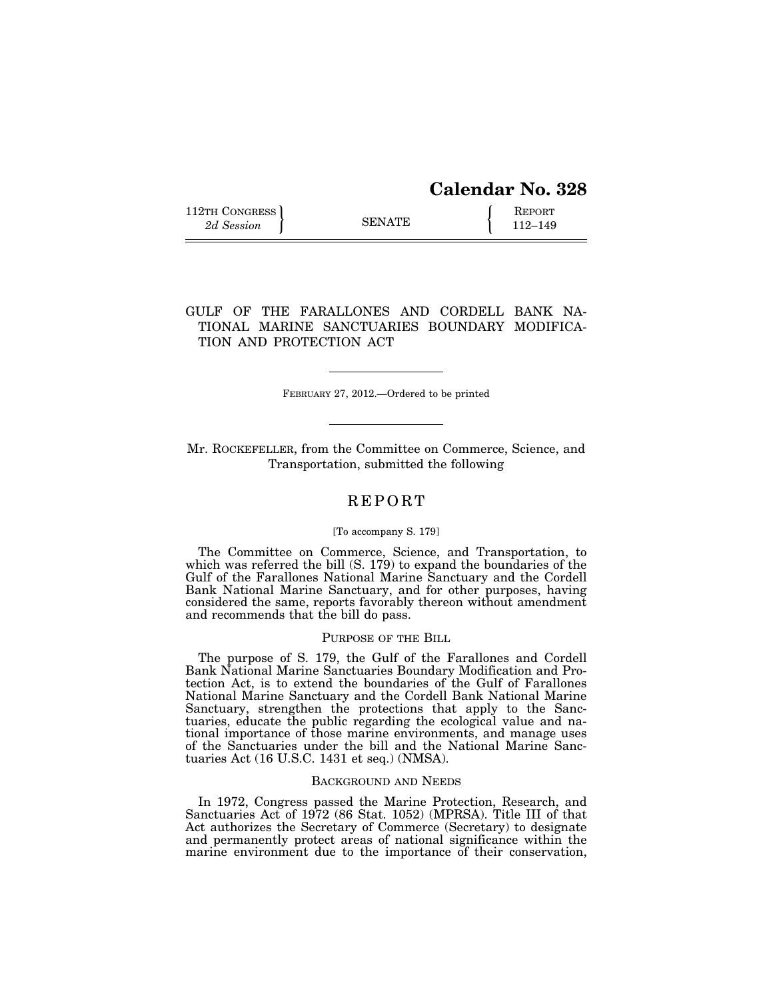# **Calendar No. 328**

112TH CONGRESS **REPORT** 2d Session **112** SENATE **112–149** 

## GULF OF THE FARALLONES AND CORDELL BANK NA-TIONAL MARINE SANCTUARIES BOUNDARY MODIFICA-TION AND PROTECTION ACT

FEBRUARY 27, 2012.—Ordered to be printed

Mr. ROCKEFELLER, from the Committee on Commerce, Science, and Transportation, submitted the following

### R E P O R T

#### [To accompany S. 179]

The Committee on Commerce, Science, and Transportation, to which was referred the bill (S. 179) to expand the boundaries of the Gulf of the Farallones National Marine Sanctuary and the Cordell Bank National Marine Sanctuary, and for other purposes, having considered the same, reports favorably thereon without amendment and recommends that the bill do pass.

#### PURPOSE OF THE BILL

The purpose of S. 179, the Gulf of the Farallones and Cordell Bank National Marine Sanctuaries Boundary Modification and Protection Act, is to extend the boundaries of the Gulf of Farallones National Marine Sanctuary and the Cordell Bank National Marine Sanctuary, strengthen the protections that apply to the Sanctuaries, educate the public regarding the ecological value and national importance of those marine environments, and manage uses of the Sanctuaries under the bill and the National Marine Sanctuaries Act (16 U.S.C. 1431 et seq.) (NMSA).

#### BACKGROUND AND NEEDS

In 1972, Congress passed the Marine Protection, Research, and Sanctuaries Act of 1972 (86 Stat. 1052) (MPRSA). Title III of that Act authorizes the Secretary of Commerce (Secretary) to designate and permanently protect areas of national significance within the marine environment due to the importance of their conservation,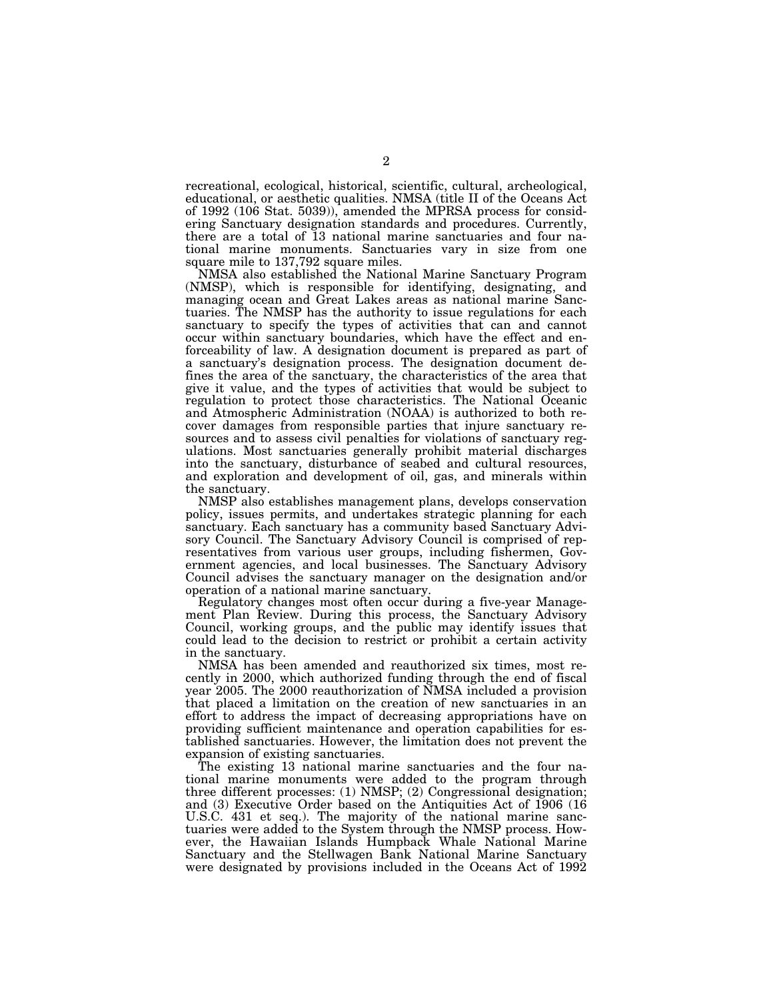recreational, ecological, historical, scientific, cultural, archeological, educational, or aesthetic qualities. NMSA (title II of the Oceans Act of 1992 (106 Stat. 5039)), amended the MPRSA process for considering Sanctuary designation standards and procedures. Currently, there are a total of 13 national marine sanctuaries and four national marine monuments. Sanctuaries vary in size from one square mile to  $137,792$  square miles.

NMSA also established the National Marine Sanctuary Program (NMSP), which is responsible for identifying, designating, and managing ocean and Great Lakes areas as national marine Sanctuaries. The NMSP has the authority to issue regulations for each sanctuary to specify the types of activities that can and cannot occur within sanctuary boundaries, which have the effect and enforceability of law. A designation document is prepared as part of a sanctuary's designation process. The designation document defines the area of the sanctuary, the characteristics of the area that give it value, and the types of activities that would be subject to regulation to protect those characteristics. The National Oceanic and Atmospheric Administration (NOAA) is authorized to both recover damages from responsible parties that injure sanctuary resources and to assess civil penalties for violations of sanctuary regulations. Most sanctuaries generally prohibit material discharges into the sanctuary, disturbance of seabed and cultural resources, and exploration and development of oil, gas, and minerals within the sanctuary.

NMSP also establishes management plans, develops conservation policy, issues permits, and undertakes strategic planning for each sanctuary. Each sanctuary has a community based Sanctuary Advisory Council. The Sanctuary Advisory Council is comprised of representatives from various user groups, including fishermen, Government agencies, and local businesses. The Sanctuary Advisory Council advises the sanctuary manager on the designation and/or operation of a national marine sanctuary.

Regulatory changes most often occur during a five-year Management Plan Review. During this process, the Sanctuary Advisory Council, working groups, and the public may identify issues that could lead to the decision to restrict or prohibit a certain activity in the sanctuary.

NMSA has been amended and reauthorized six times, most recently in 2000, which authorized funding through the end of fiscal year 2005. The 2000 reauthorization of NMSA included a provision that placed a limitation on the creation of new sanctuaries in an effort to address the impact of decreasing appropriations have on providing sufficient maintenance and operation capabilities for established sanctuaries. However, the limitation does not prevent the expansion of existing sanctuaries.

The existing 13 national marine sanctuaries and the four national marine monuments were added to the program through three different processes: (1) NMSP; (2) Congressional designation; and (3) Executive Order based on the Antiquities Act of 1906 (16 U.S.C. 431 et seq.). The majority of the national marine sanctuaries were added to the System through the NMSP process. However, the Hawaiian Islands Humpback Whale National Marine Sanctuary and the Stellwagen Bank National Marine Sanctuary were designated by provisions included in the Oceans Act of 1992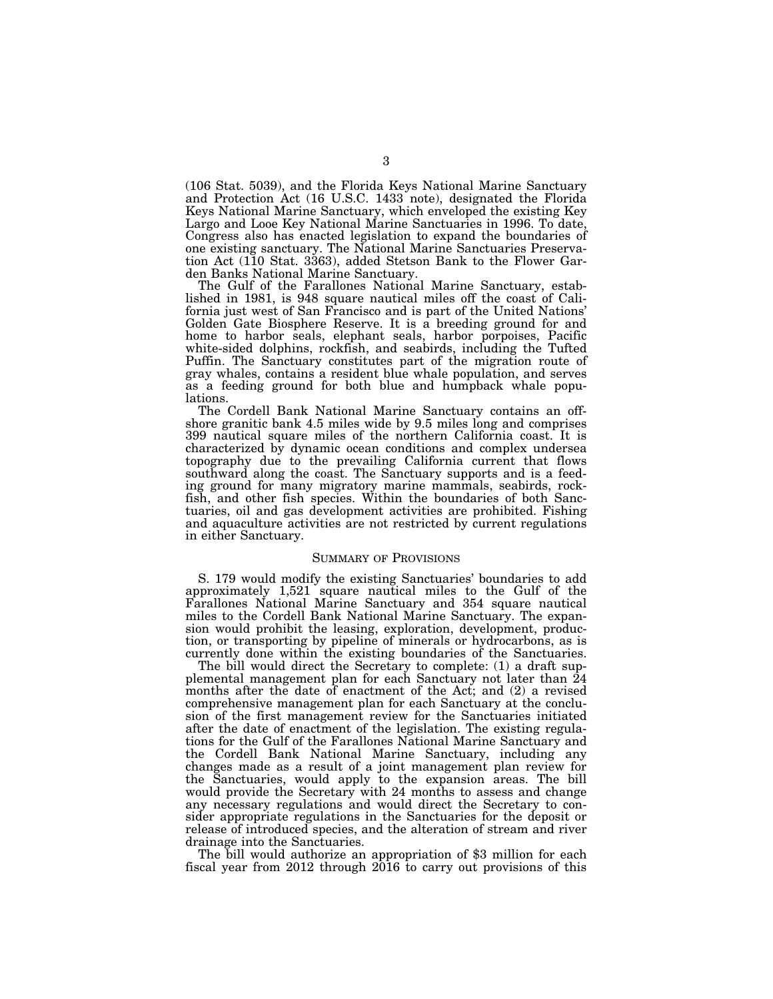(106 Stat. 5039), and the Florida Keys National Marine Sanctuary and Protection Act (16 U.S.C. 1433 note), designated the Florida Keys National Marine Sanctuary, which enveloped the existing Key Largo and Looe Key National Marine Sanctuaries in 1996. To date, Congress also has enacted legislation to expand the boundaries of one existing sanctuary. The National Marine Sanctuaries Preservation Act (110 Stat. 3363), added Stetson Bank to the Flower Garden Banks National Marine Sanctuary.

The Gulf of the Farallones National Marine Sanctuary, established in 1981, is 948 square nautical miles off the coast of California just west of San Francisco and is part of the United Nations' Golden Gate Biosphere Reserve. It is a breeding ground for and home to harbor seals, elephant seals, harbor porpoises, Pacific white-sided dolphins, rockfish, and seabirds, including the Tufted Puffin. The Sanctuary constitutes part of the migration route of gray whales, contains a resident blue whale population, and serves as a feeding ground for both blue and humpback whale populations.

The Cordell Bank National Marine Sanctuary contains an offshore granitic bank 4.5 miles wide by 9.5 miles long and comprises 399 nautical square miles of the northern California coast. It is characterized by dynamic ocean conditions and complex undersea topography due to the prevailing California current that flows southward along the coast. The Sanctuary supports and is a feeding ground for many migratory marine mammals, seabirds, rockfish, and other fish species. Within the boundaries of both Sanctuaries, oil and gas development activities are prohibited. Fishing and aquaculture activities are not restricted by current regulations in either Sanctuary.

#### SUMMARY OF PROVISIONS

S. 179 would modify the existing Sanctuaries' boundaries to add approximately 1,521 square nautical miles to the Gulf of the Farallones National Marine Sanctuary and 354 square nautical miles to the Cordell Bank National Marine Sanctuary. The expansion would prohibit the leasing, exploration, development, production, or transporting by pipeline of minerals or hydrocarbons, as is currently done within the existing boundaries of the Sanctuaries.

The bill would direct the Secretary to complete: (1) a draft supplemental management plan for each Sanctuary not later than 24 months after the date of enactment of the Act; and (2) a revised comprehensive management plan for each Sanctuary at the conclusion of the first management review for the Sanctuaries initiated after the date of enactment of the legislation. The existing regulations for the Gulf of the Farallones National Marine Sanctuary and the Cordell Bank National Marine Sanctuary, including any changes made as a result of a joint management plan review for the Sanctuaries, would apply to the expansion areas. The bill would provide the Secretary with 24 months to assess and change any necessary regulations and would direct the Secretary to consider appropriate regulations in the Sanctuaries for the deposit or release of introduced species, and the alteration of stream and river drainage into the Sanctuaries.

The bill would authorize an appropriation of \$3 million for each fiscal year from 2012 through 2016 to carry out provisions of this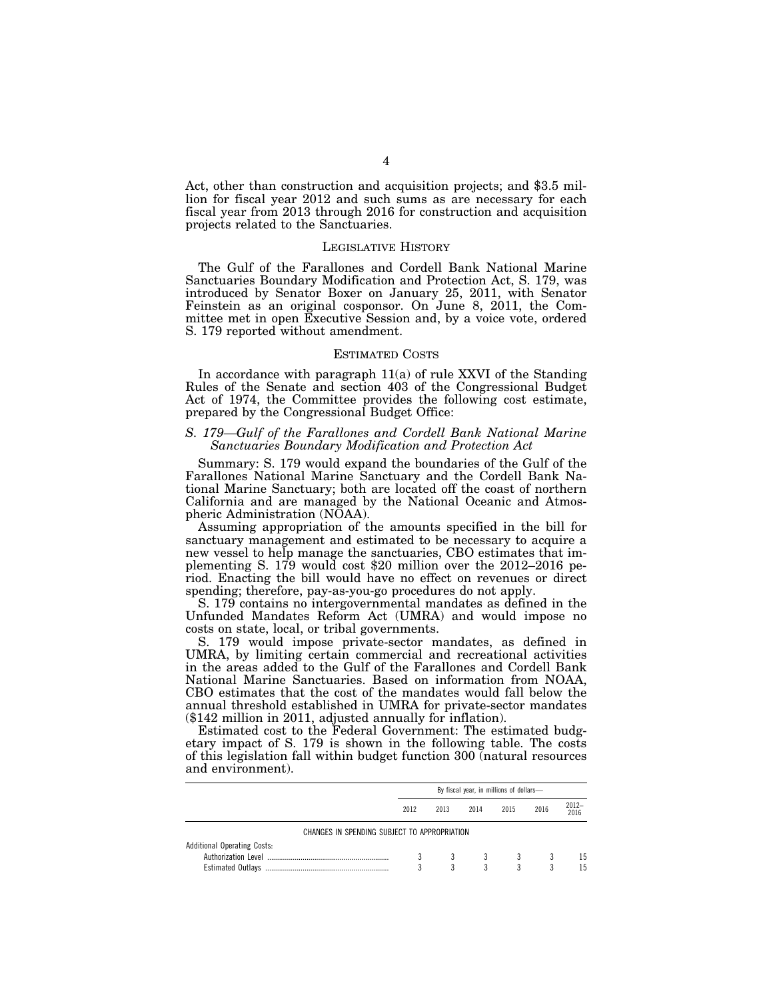Act, other than construction and acquisition projects; and \$3.5 million for fiscal year 2012 and such sums as are necessary for each fiscal year from 2013 through 2016 for construction and acquisition projects related to the Sanctuaries.

#### LEGISLATIVE HISTORY

The Gulf of the Farallones and Cordell Bank National Marine Sanctuaries Boundary Modification and Protection Act, S. 179, was introduced by Senator Boxer on January 25, 2011, with Senator Feinstein as an original cosponsor. On June 8, 2011, the Committee met in open Executive Session and, by a voice vote, ordered S. 179 reported without amendment.

#### ESTIMATED COSTS

In accordance with paragraph 11(a) of rule XXVI of the Standing Rules of the Senate and section 403 of the Congressional Budget Act of 1974, the Committee provides the following cost estimate, prepared by the Congressional Budget Office:

#### *S. 179—Gulf of the Farallones and Cordell Bank National Marine Sanctuaries Boundary Modification and Protection Act*

Summary: S. 179 would expand the boundaries of the Gulf of the Farallones National Marine Sanctuary and the Cordell Bank National Marine Sanctuary; both are located off the coast of northern California and are managed by the National Oceanic and Atmospheric Administration (NOAA).

Assuming appropriation of the amounts specified in the bill for sanctuary management and estimated to be necessary to acquire a new vessel to help manage the sanctuaries, CBO estimates that implementing S. 179 would cost \$20 million over the 2012–2016 period. Enacting the bill would have no effect on revenues or direct spending; therefore, pay-as-you-go procedures do not apply.

S. 179 contains no intergovernmental mandates as defined in the Unfunded Mandates Reform Act (UMRA) and would impose no costs on state, local, or tribal governments.

S. 179 would impose private-sector mandates, as defined in UMRA, by limiting certain commercial and recreational activities in the areas added to the Gulf of the Farallones and Cordell Bank National Marine Sanctuaries. Based on information from NOAA, CBO estimates that the cost of the mandates would fall below the annual threshold established in UMRA for private-sector mandates (\$142 million in 2011, adjusted annually for inflation).

Estimated cost to the Federal Government: The estimated budgetary impact of S. 179 is shown in the following table. The costs of this legislation fall within budget function 300 (natural resources and environment).

|                                                                | By fiscal year, in millions of dollars- |        |        |        |      |                  |
|----------------------------------------------------------------|-----------------------------------------|--------|--------|--------|------|------------------|
|                                                                | 2012                                    | 2013   | 2014   | 2015   | 2016 | $2012 -$<br>2016 |
| CHANGES IN SPENDING SUBJECT TO APPROPRIATION                   |                                         |        |        |        |      |                  |
| <b>Additional Operating Costs:</b><br><b>Estimated Outlavs</b> |                                         | 3<br>3 | 3<br>3 | 3<br>3 |      | 15<br>15         |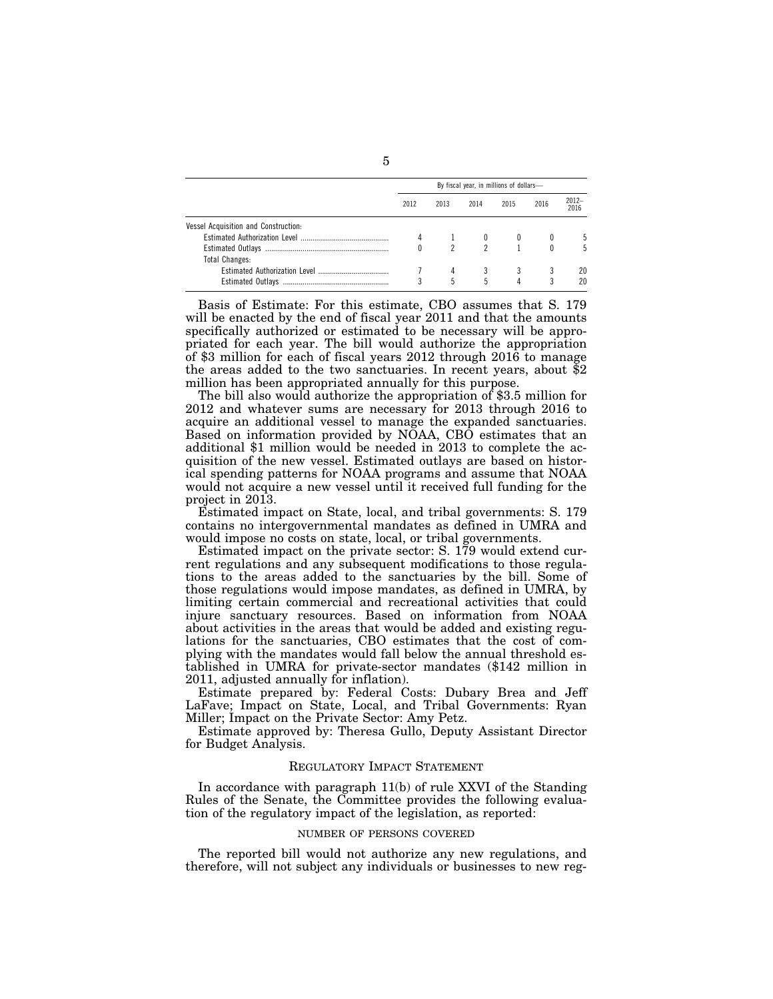|                                      | By fiscal year, in millions of dollars- |      |      |      |      |               |  |
|--------------------------------------|-----------------------------------------|------|------|------|------|---------------|--|
|                                      | 2012                                    | 2013 | 2014 | 2015 | 2016 | 2012-<br>2016 |  |
| Vessel Acquisition and Construction: |                                         |      |      |      |      |               |  |
|                                      |                                         |      |      |      |      |               |  |
|                                      |                                         |      |      |      |      | 5             |  |
| <b>Total Changes:</b>                |                                         |      |      |      |      |               |  |
|                                      |                                         |      |      |      |      | 20            |  |
|                                      |                                         | 5    | 5    | Δ    | 3    | 20            |  |

Basis of Estimate: For this estimate, CBO assumes that S. 179 will be enacted by the end of fiscal year 2011 and that the amounts specifically authorized or estimated to be necessary will be appropriated for each year. The bill would authorize the appropriation of \$3 million for each of fiscal years 2012 through 2016 to manage the areas added to the two sanctuaries. In recent years, about \$2 million has been appropriated annually for this purpose.

The bill also would authorize the appropriation of \$3.5 million for 2012 and whatever sums are necessary for 2013 through 2016 to acquire an additional vessel to manage the expanded sanctuaries. Based on information provided by NOAA, CBO estimates that an additional \$1 million would be needed in 2013 to complete the acquisition of the new vessel. Estimated outlays are based on historical spending patterns for NOAA programs and assume that NOAA would not acquire a new vessel until it received full funding for the project in 2013.

Estimated impact on State, local, and tribal governments: S. 179 contains no intergovernmental mandates as defined in UMRA and would impose no costs on state, local, or tribal governments.

Estimated impact on the private sector: S. 179 would extend current regulations and any subsequent modifications to those regulations to the areas added to the sanctuaries by the bill. Some of those regulations would impose mandates, as defined in UMRA, by limiting certain commercial and recreational activities that could injure sanctuary resources. Based on information from NOAA about activities in the areas that would be added and existing regulations for the sanctuaries, CBO estimates that the cost of complying with the mandates would fall below the annual threshold established in UMRA for private-sector mandates (\$142 million in 2011, adjusted annually for inflation).

Estimate prepared by: Federal Costs: Dubary Brea and Jeff LaFave; Impact on State, Local, and Tribal Governments: Ryan Miller; Impact on the Private Sector: Amy Petz.

Estimate approved by: Theresa Gullo, Deputy Assistant Director for Budget Analysis.

#### REGULATORY IMPACT STATEMENT

In accordance with paragraph 11(b) of rule XXVI of the Standing Rules of the Senate, the Committee provides the following evaluation of the regulatory impact of the legislation, as reported:

#### NUMBER OF PERSONS COVERED

The reported bill would not authorize any new regulations, and therefore, will not subject any individuals or businesses to new reg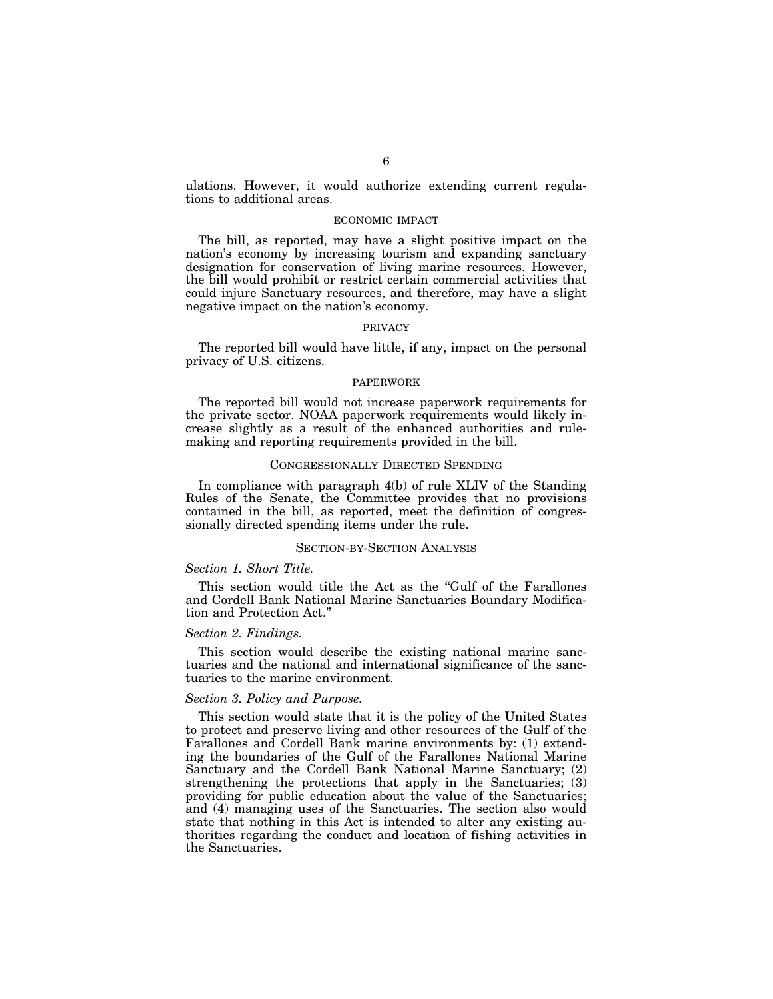ulations. However, it would authorize extending current regulations to additional areas.

#### ECONOMIC IMPACT

The bill, as reported, may have a slight positive impact on the nation's economy by increasing tourism and expanding sanctuary designation for conservation of living marine resources. However, the bill would prohibit or restrict certain commercial activities that could injure Sanctuary resources, and therefore, may have a slight negative impact on the nation's economy.

#### PRIVACY

The reported bill would have little, if any, impact on the personal privacy of U.S. citizens.

#### PAPERWORK

The reported bill would not increase paperwork requirements for the private sector. NOAA paperwork requirements would likely increase slightly as a result of the enhanced authorities and rulemaking and reporting requirements provided in the bill.

#### CONGRESSIONALLY DIRECTED SPENDING

In compliance with paragraph 4(b) of rule XLIV of the Standing Rules of the Senate, the Committee provides that no provisions contained in the bill, as reported, meet the definition of congressionally directed spending items under the rule.

#### SECTION-BY-SECTION ANALYSIS

#### *Section 1. Short Title.*

This section would title the Act as the "Gulf of the Farallones" and Cordell Bank National Marine Sanctuaries Boundary Modification and Protection Act.''

#### *Section 2. Findings.*

This section would describe the existing national marine sanctuaries and the national and international significance of the sanctuaries to the marine environment.

#### *Section 3. Policy and Purpose.*

This section would state that it is the policy of the United States to protect and preserve living and other resources of the Gulf of the Farallones and Cordell Bank marine environments by: (1) extending the boundaries of the Gulf of the Farallones National Marine Sanctuary and the Cordell Bank National Marine Sanctuary; (2) strengthening the protections that apply in the Sanctuaries; (3) providing for public education about the value of the Sanctuaries; and (4) managing uses of the Sanctuaries. The section also would state that nothing in this Act is intended to alter any existing authorities regarding the conduct and location of fishing activities in the Sanctuaries.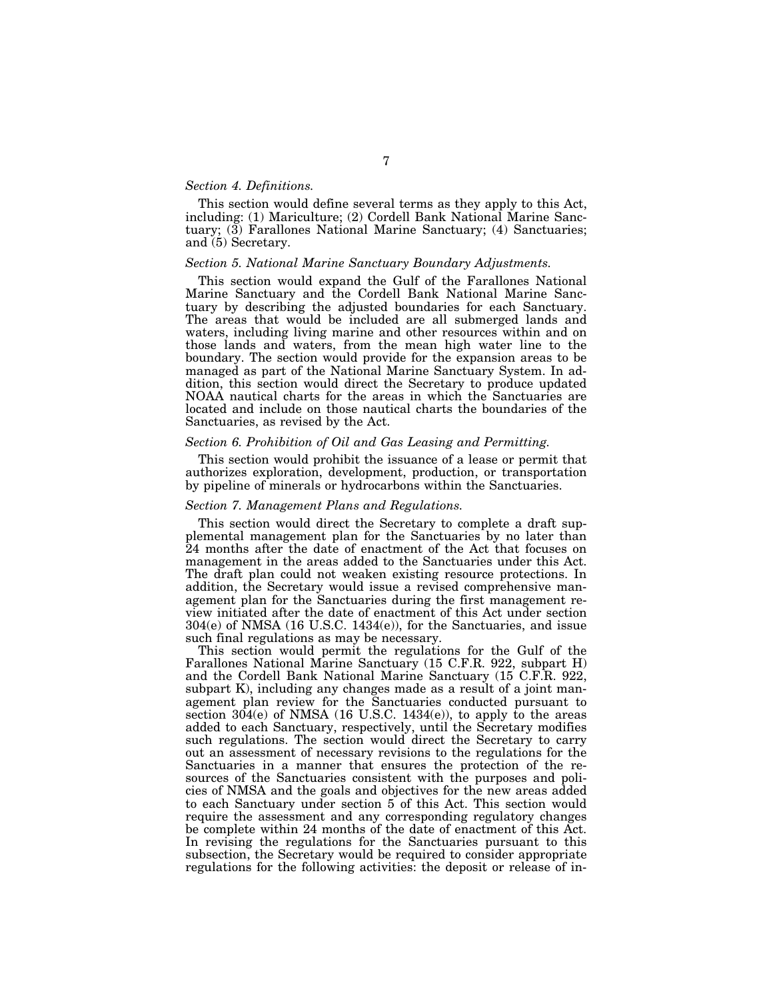#### *Section 4. Definitions.*

This section would define several terms as they apply to this Act, including: (1) Mariculture; (2) Cordell Bank National Marine Sanctuary;  $(\overline{3})$  Farallones National Marine Sanctuary;  $(4)$  Sanctuaries; and (5) Secretary.

#### *Section 5. National Marine Sanctuary Boundary Adjustments.*

This section would expand the Gulf of the Farallones National Marine Sanctuary and the Cordell Bank National Marine Sanctuary by describing the adjusted boundaries for each Sanctuary. The areas that would be included are all submerged lands and waters, including living marine and other resources within and on those lands and waters, from the mean high water line to the boundary. The section would provide for the expansion areas to be managed as part of the National Marine Sanctuary System. In addition, this section would direct the Secretary to produce updated NOAA nautical charts for the areas in which the Sanctuaries are located and include on those nautical charts the boundaries of the Sanctuaries, as revised by the Act.

#### *Section 6. Prohibition of Oil and Gas Leasing and Permitting.*

This section would prohibit the issuance of a lease or permit that authorizes exploration, development, production, or transportation by pipeline of minerals or hydrocarbons within the Sanctuaries.

#### *Section 7. Management Plans and Regulations.*

This section would direct the Secretary to complete a draft supplemental management plan for the Sanctuaries by no later than 24 months after the date of enactment of the Act that focuses on management in the areas added to the Sanctuaries under this Act. The draft plan could not weaken existing resource protections. In addition, the Secretary would issue a revised comprehensive management plan for the Sanctuaries during the first management review initiated after the date of enactment of this Act under section 304(e) of NMSA (16 U.S.C. 1434(e)), for the Sanctuaries, and issue such final regulations as may be necessary.

This section would permit the regulations for the Gulf of the Farallones National Marine Sanctuary (15 C.F.R. 922, subpart H) and the Cordell Bank National Marine Sanctuary (15 C.F.R. 922, subpart K), including any changes made as a result of a joint management plan review for the Sanctuaries conducted pursuant to section  $304(e)$  of NMSA (16 U.S.C. 1434(e)), to apply to the areas added to each Sanctuary, respectively, until the Secretary modifies such regulations. The section would direct the Secretary to carry out an assessment of necessary revisions to the regulations for the Sanctuaries in a manner that ensures the protection of the resources of the Sanctuaries consistent with the purposes and policies of NMSA and the goals and objectives for the new areas added to each Sanctuary under section 5 of this Act. This section would require the assessment and any corresponding regulatory changes be complete within 24 months of the date of enactment of this Act. In revising the regulations for the Sanctuaries pursuant to this subsection, the Secretary would be required to consider appropriate regulations for the following activities: the deposit or release of in